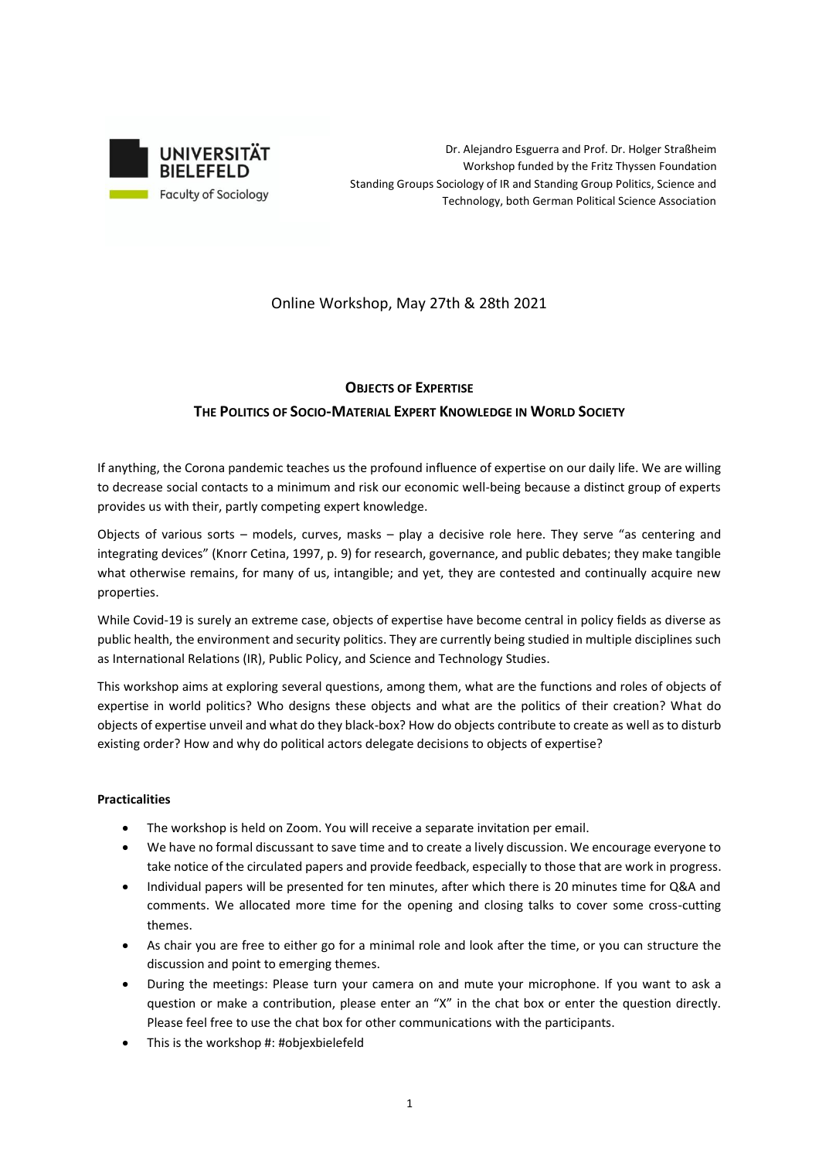

Dr. Alejandro Esguerra and Prof. Dr. Holger Straßheim Workshop funded by the Fritz Thyssen Foundation Standing Groups Sociology of IR and Standing Group Politics, Science and Technology, both German Political Science Association

## Online Workshop, May 27th & 28th 2021

# **OBJECTS OF EXPERTISE THE POLITICS OF SOCIO-MATERIAL EXPERT KNOWLEDGE IN WORLD SOCIETY**

If anything, the Corona pandemic teaches us the profound influence of expertise on our daily life. We are willing to decrease social contacts to a minimum and risk our economic well-being because a distinct group of experts provides us with their, partly competing expert knowledge.

Objects of various sorts – models, curves, masks – play a decisive role here. They serve "as centering and integrating devices" (Knorr Cetina, 1997, p. 9) for research, governance, and public debates; they make tangible what otherwise remains, for many of us, intangible; and yet, they are contested and continually acquire new properties.

While Covid-19 is surely an extreme case, objects of expertise have become central in policy fields as diverse as public health, the environment and security politics. They are currently being studied in multiple disciplines such as International Relations (IR), Public Policy, and Science and Technology Studies.

This workshop aims at exploring several questions, among them, what are the functions and roles of objects of expertise in world politics? Who designs these objects and what are the politics of their creation? What do objects of expertise unveil and what do they black-box? How do objects contribute to create as well as to disturb existing order? How and why do political actors delegate decisions to objects of expertise?

### **Practicalities**

- The workshop is held on Zoom. You will receive a separate invitation per email.
- We have no formal discussant to save time and to create a lively discussion. We encourage everyone to take notice of the circulated papers and provide feedback, especially to those that are work in progress.
- Individual papers will be presented for ten minutes, after which there is 20 minutes time for Q&A and comments. We allocated more time for the opening and closing talks to cover some cross-cutting themes.
- As chair you are free to either go for a minimal role and look after the time, or you can structure the discussion and point to emerging themes.
- During the meetings: Please turn your camera on and mute your microphone. If you want to ask a question or make a contribution, please enter an "X" in the chat box or enter the question directly. Please feel free to use the chat box for other communications with the participants.
- This is the workshop #: #objexbielefeld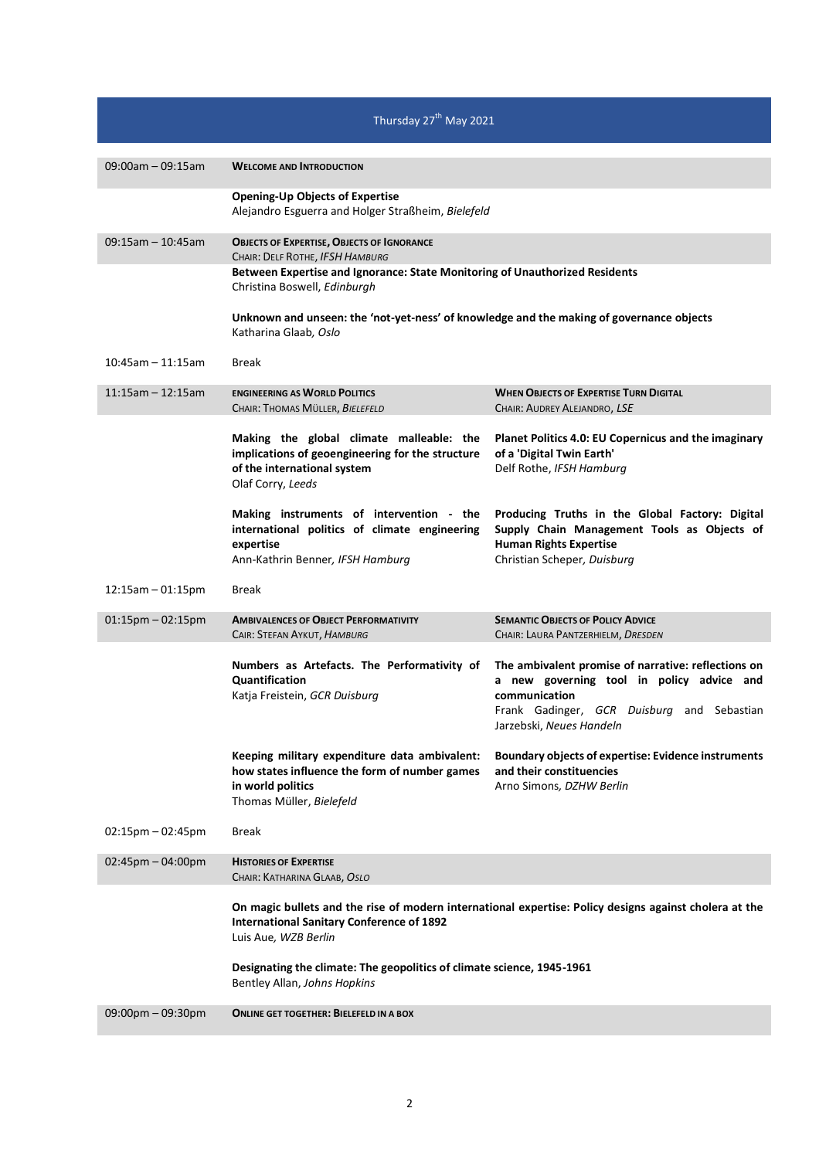| Thursday 27 <sup>th</sup> May 2021  |                                                                                                                                                                                                                                                                                              |                                                                                                                                                                                             |
|-------------------------------------|----------------------------------------------------------------------------------------------------------------------------------------------------------------------------------------------------------------------------------------------------------------------------------------------|---------------------------------------------------------------------------------------------------------------------------------------------------------------------------------------------|
| $09:00$ am - 09:15am                | <b>WELCOME AND INTRODUCTION</b>                                                                                                                                                                                                                                                              |                                                                                                                                                                                             |
|                                     | <b>Opening-Up Objects of Expertise</b><br>Alejandro Esguerra and Holger Straßheim, Bielefeld                                                                                                                                                                                                 |                                                                                                                                                                                             |
| $09:15$ am - 10:45am                | <b>OBJECTS OF EXPERTISE, OBJECTS OF IGNORANCE</b><br>CHAIR: DELF ROTHE, IFSH HAMBURG                                                                                                                                                                                                         |                                                                                                                                                                                             |
|                                     | Between Expertise and Ignorance: State Monitoring of Unauthorized Residents<br>Christina Boswell, Edinburgh                                                                                                                                                                                  |                                                                                                                                                                                             |
|                                     | Unknown and unseen: the 'not-yet-ness' of knowledge and the making of governance objects<br>Katharina Glaab, Oslo                                                                                                                                                                            |                                                                                                                                                                                             |
| $10:45$ am - 11:15am                | <b>Break</b>                                                                                                                                                                                                                                                                                 |                                                                                                                                                                                             |
| $11:15$ am - 12:15am                | <b>ENGINEERING AS WORLD POLITICS</b>                                                                                                                                                                                                                                                         | <b>WHEN OBJECTS OF EXPERTISE TURN DIGITAL</b>                                                                                                                                               |
|                                     | CHAIR: THOMAS MÜLLER, BIELEFELD                                                                                                                                                                                                                                                              | CHAIR: AUDREY ALEJANDRO, LSE                                                                                                                                                                |
|                                     | Making the global climate malleable: the<br>implications of geoengineering for the structure<br>of the international system<br>Olaf Corry, Leeds                                                                                                                                             | Planet Politics 4.0: EU Copernicus and the imaginary<br>of a 'Digital Twin Earth'<br>Delf Rothe, IFSH Hamburg                                                                               |
|                                     | Making instruments of intervention - the<br>international politics of climate engineering<br>expertise<br>Ann-Kathrin Benner, IFSH Hamburg                                                                                                                                                   | Producing Truths in the Global Factory: Digital<br>Supply Chain Management Tools as Objects of<br><b>Human Rights Expertise</b><br>Christian Scheper, Duisburg                              |
| $12:15am - 01:15pm$                 | Break                                                                                                                                                                                                                                                                                        |                                                                                                                                                                                             |
| $01:15$ pm $-02:15$ pm              | <b>AMBIVALENCES OF OBJECT PERFORMATIVITY</b><br>CAIR: STEFAN AYKUT, HAMBURG                                                                                                                                                                                                                  | <b>SEMANTIC OBJECTS OF POLICY ADVICE</b><br>CHAIR: LAURA PANTZERHIELM, DRESDEN                                                                                                              |
|                                     | Numbers as Artefacts. The Performativity of<br>Quantification<br>Katja Freistein, GCR Duisburg                                                                                                                                                                                               | The ambivalent promise of narrative: reflections on<br>a new governing tool in policy advice and<br>communication<br>Frank Gadinger, GCR Duisburg and Sebastian<br>Jarzebski, Neues Handeln |
|                                     | Keeping military expenditure data ambivalent:<br>how states influence the form of number games<br>in world politics<br>Thomas Müller, Bielefeld                                                                                                                                              | <b>Boundary objects of expertise: Evidence instruments</b><br>and their constituencies<br>Arno Simons, DZHW Berlin                                                                          |
| $02:15$ pm $-02:45$ pm              | Break                                                                                                                                                                                                                                                                                        |                                                                                                                                                                                             |
| $02:45$ pm $-04:00$ pm              | <b>HISTORIES OF EXPERTISE</b><br>CHAIR: KATHARINA GLAAB, OSLO                                                                                                                                                                                                                                |                                                                                                                                                                                             |
|                                     | On magic bullets and the rise of modern international expertise: Policy designs against cholera at the<br><b>International Sanitary Conference of 1892</b><br>Luis Aue, WZB Berlin<br>Designating the climate: The geopolitics of climate science, 1945-1961<br>Bentley Allan, Johns Hopkins |                                                                                                                                                                                             |
|                                     |                                                                                                                                                                                                                                                                                              |                                                                                                                                                                                             |
| $09:00 \text{pm} - 09:30 \text{pm}$ | <b>ONLINE GET TOGETHER: BIELEFELD IN A BOX</b>                                                                                                                                                                                                                                               |                                                                                                                                                                                             |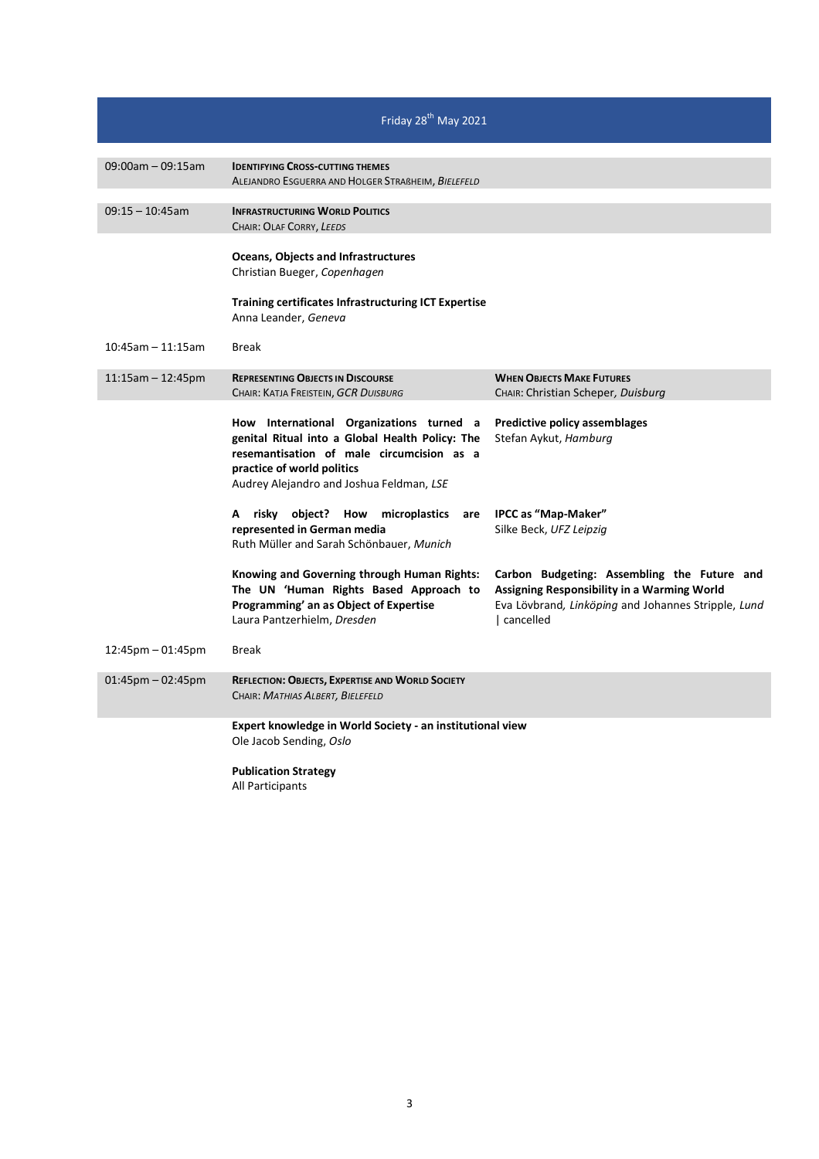## Friday 28<sup>th</sup> May 2021 09:00am – 09:15am **IDENTIFYING CROSS-CUTTING THEMES** ALEJANDRO ESGUERRA AND HOLGER STRAßHEIM, *BIELEFELD* 09:15 – 10:45am **INFRASTRUCTURING WORLD POLITICS** CHAIR: OLAF CORRY, *LEEDS* **Oceans, Objects and Infrastructures** Christian Bueger, *Copenhagen*  **Training certificates Infrastructuring ICT Expertise** Anna Leander, *Geneva* 10:45am – 11:15am Break 11:15am – 12:45pm **REPRESENTING OBJECTS IN DISCOURSE** CHAIR: KATJA FREISTEIN, *GCR DUISBURG* **WHEN OBJECTS MAKE FUTURES** CHAIR: Christian Scheper*, Duisburg* **How International Organizations turned a genital Ritual into a Global Health Policy: The resemantisation of male circumcision as a practice of world politics** Audrey Alejandro and Joshua Feldman, *LSE* **Predictive policy assemblages** Stefan Aykut, *Hamburg* **A risky object? How microplastics are represented in German media** Ruth Müller and Sarah Schönbauer, *Munich*  **IPCC as "Map-Maker"** Silke Beck, *UFZ Leipzig*  **Knowing and Governing through Human Rights: The UN 'Human Rights Based Approach to Programming' an as Object of Expertise** Laura Pantzerhielm, *Dresden*  **Carbon Budgeting: Assembling the Future and Assigning Responsibility in a Warming World** Eva Lövbrand*, Linköping* and Johannes Stripple, *Lund* | cancelled 12:45pm – 01:45pm Break 01:45pm – 02:45pm **REFLECTION: OBJECTS, EXPERTISE AND WORLD SOCIETY** CHAIR: *MATHIAS ALBERT, BIELEFELD* **Expert knowledge in World Society - an institutional view** Ole Jacob Sending, *Oslo* **Publication Strategy** All Participants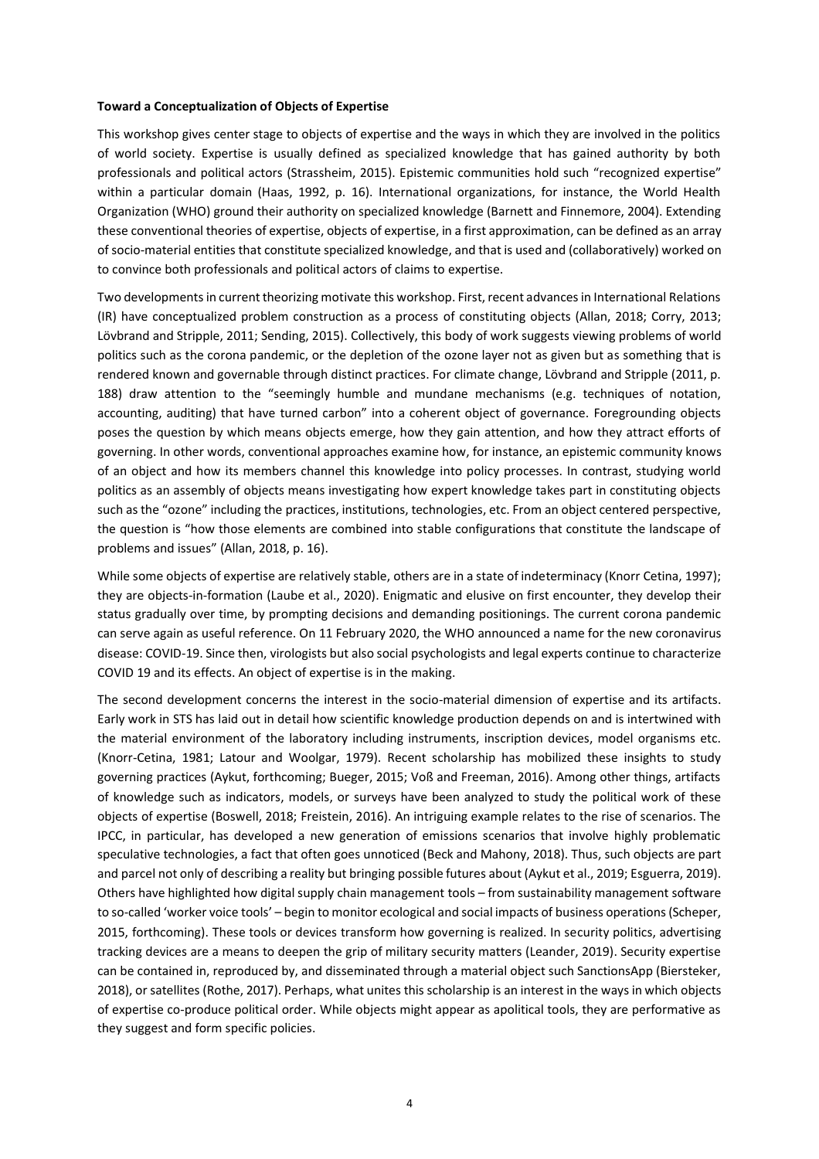### **Toward a Conceptualization of Objects of Expertise**

This workshop gives center stage to objects of expertise and the ways in which they are involved in the politics of world society. Expertise is usually defined as specialized knowledge that has gained authority by both professionals and political actors (Strassheim, 2015). Epistemic communities hold such "recognized expertise" within a particular domain (Haas, 1992, p. 16). International organizations, for instance, the World Health Organization (WHO) ground their authority on specialized knowledge (Barnett and Finnemore, 2004). Extending these conventional theories of expertise, objects of expertise, in a first approximation, can be defined as an array of socio-material entities that constitute specialized knowledge, and that is used and (collaboratively) worked on to convince both professionals and political actors of claims to expertise.

Two developments in current theorizing motivate this workshop. First, recent advances in International Relations (IR) have conceptualized problem construction as a process of constituting objects (Allan, 2018; Corry, 2013; Lövbrand and Stripple, 2011; Sending, 2015). Collectively, this body of work suggests viewing problems of world politics such as the corona pandemic, or the depletion of the ozone layer not as given but as something that is rendered known and governable through distinct practices. For climate change, Lövbrand and Stripple (2011, p. 188) draw attention to the "seemingly humble and mundane mechanisms (e.g. techniques of notation, accounting, auditing) that have turned carbon" into a coherent object of governance. Foregrounding objects poses the question by which means objects emerge, how they gain attention, and how they attract efforts of governing. In other words, conventional approaches examine how, for instance, an epistemic community knows of an object and how its members channel this knowledge into policy processes. In contrast, studying world politics as an assembly of objects means investigating how expert knowledge takes part in constituting objects such as the "ozone" including the practices, institutions, technologies, etc. From an object centered perspective, the question is "how those elements are combined into stable configurations that constitute the landscape of problems and issues" (Allan, 2018, p. 16).

While some objects of expertise are relatively stable, others are in a state of indeterminacy (Knorr Cetina, 1997); they are objects-in-formation (Laube et al., 2020). Enigmatic and elusive on first encounter, they develop their status gradually over time, by prompting decisions and demanding positionings. The current corona pandemic can serve again as useful reference. On 11 February 2020, the WHO announced a name for the new coronavirus disease: COVID-19. Since then, virologists but also social psychologists and legal experts continue to characterize COVID 19 and its effects. An object of expertise is in the making.

The second development concerns the interest in the socio-material dimension of expertise and its artifacts. Early work in STS has laid out in detail how scientific knowledge production depends on and is intertwined with the material environment of the laboratory including instruments, inscription devices, model organisms etc. (Knorr-Cetina, 1981; Latour and Woolgar, 1979). Recent scholarship has mobilized these insights to study governing practices (Aykut, forthcoming; Bueger, 2015; Voß and Freeman, 2016). Among other things, artifacts of knowledge such as indicators, models, or surveys have been analyzed to study the political work of these objects of expertise (Boswell, 2018; Freistein, 2016). An intriguing example relates to the rise of scenarios. The IPCC, in particular, has developed a new generation of emissions scenarios that involve highly problematic speculative technologies, a fact that often goes unnoticed (Beck and Mahony, 2018). Thus, such objects are part and parcel not only of describing a reality but bringing possible futures about (Aykut et al., 2019; Esguerra, 2019). Others have highlighted how digital supply chain management tools – from sustainability management software to so-called 'worker voice tools' – begin to monitor ecological and social impacts of business operations (Scheper, 2015, forthcoming). These tools or devices transform how governing is realized. In security politics, advertising tracking devices are a means to deepen the grip of military security matters (Leander, 2019). Security expertise can be contained in, reproduced by, and disseminated through a material object such SanctionsApp (Biersteker, 2018), or satellites (Rothe, 2017). Perhaps, what unites this scholarship is an interest in the ways in which objects of expertise co-produce political order. While objects might appear as apolitical tools, they are performative as they suggest and form specific policies.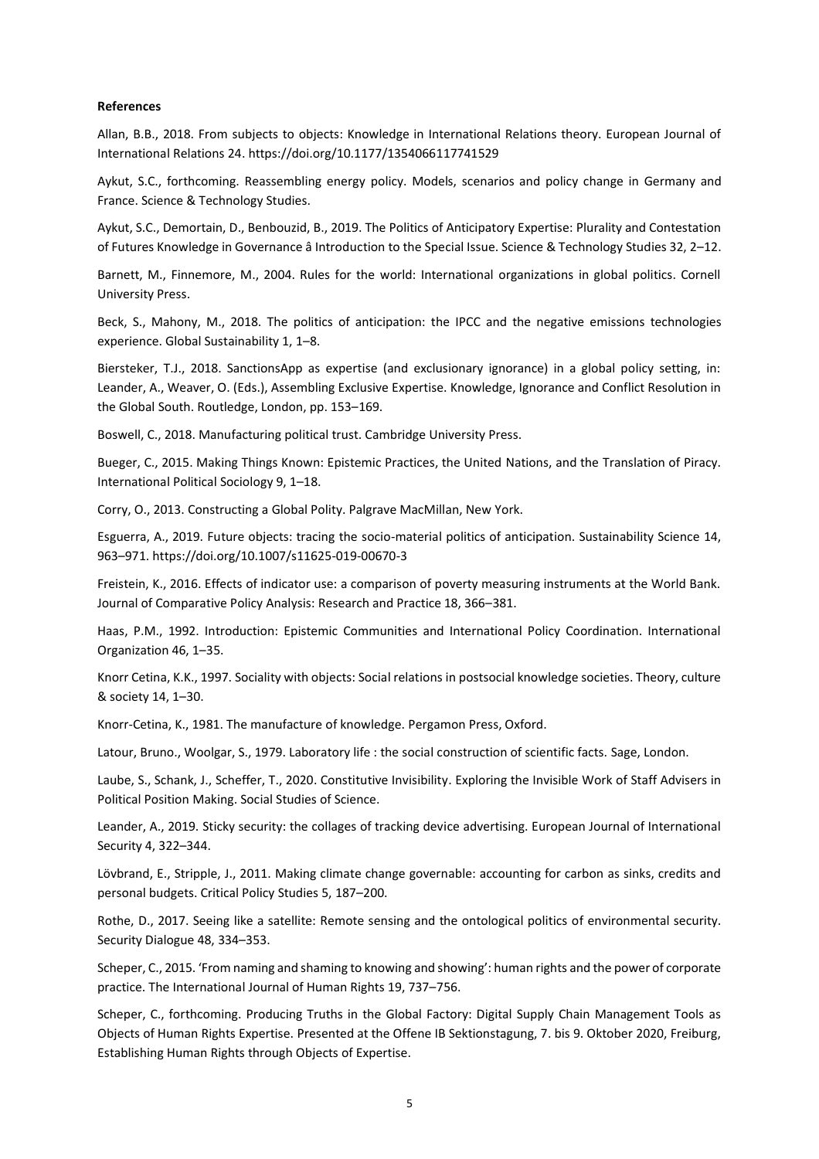### **References**

Allan, B.B., 2018. From subjects to objects: Knowledge in International Relations theory. European Journal of International Relations 24. https://doi.org/10.1177/1354066117741529

Aykut, S.C., forthcoming. Reassembling energy policy. Models, scenarios and policy change in Germany and France. Science & Technology Studies.

Aykut, S.C., Demortain, D., Benbouzid, B., 2019. The Politics of Anticipatory Expertise: Plurality and Contestation of Futures Knowledge in Governance â Introduction to the Special Issue. Science & Technology Studies 32, 2–12.

Barnett, M., Finnemore, M., 2004. Rules for the world: International organizations in global politics. Cornell University Press.

Beck, S., Mahony, M., 2018. The politics of anticipation: the IPCC and the negative emissions technologies experience. Global Sustainability 1, 1–8.

Biersteker, T.J., 2018. SanctionsApp as expertise (and exclusionary ignorance) in a global policy setting, in: Leander, A., Weaver, O. (Eds.), Assembling Exclusive Expertise. Knowledge, Ignorance and Conflict Resolution in the Global South. Routledge, London, pp. 153–169.

Boswell, C., 2018. Manufacturing political trust. Cambridge University Press.

Bueger, C., 2015. Making Things Known: Epistemic Practices, the United Nations, and the Translation of Piracy. International Political Sociology 9, 1–18.

Corry, O., 2013. Constructing a Global Polity. Palgrave MacMillan, New York.

Esguerra, A., 2019. Future objects: tracing the socio-material politics of anticipation. Sustainability Science 14, 963–971. https://doi.org/10.1007/s11625-019-00670-3

Freistein, K., 2016. Effects of indicator use: a comparison of poverty measuring instruments at the World Bank. Journal of Comparative Policy Analysis: Research and Practice 18, 366–381.

Haas, P.M., 1992. Introduction: Epistemic Communities and International Policy Coordination. International Organization 46, 1–35.

Knorr Cetina, K.K., 1997. Sociality with objects: Social relations in postsocial knowledge societies. Theory, culture & society 14, 1–30.

Knorr-Cetina, K., 1981. The manufacture of knowledge. Pergamon Press, Oxford.

Latour, Bruno., Woolgar, S., 1979. Laboratory life : the social construction of scientific facts. Sage, London.

Laube, S., Schank, J., Scheffer, T., 2020. Constitutive Invisibility. Exploring the Invisible Work of Staff Advisers in Political Position Making. Social Studies of Science.

Leander, A., 2019. Sticky security: the collages of tracking device advertising. European Journal of International Security 4, 322–344.

Lövbrand, E., Stripple, J., 2011. Making climate change governable: accounting for carbon as sinks, credits and personal budgets. Critical Policy Studies 5, 187–200.

Rothe, D., 2017. Seeing like a satellite: Remote sensing and the ontological politics of environmental security. Security Dialogue 48, 334–353.

Scheper, C., 2015. 'From naming and shaming to knowing and showing': human rights and the power of corporate practice. The International Journal of Human Rights 19, 737–756.

Scheper, C., forthcoming. Producing Truths in the Global Factory: Digital Supply Chain Management Tools as Objects of Human Rights Expertise. Presented at the Offene IB Sektionstagung, 7. bis 9. Oktober 2020, Freiburg, Establishing Human Rights through Objects of Expertise.